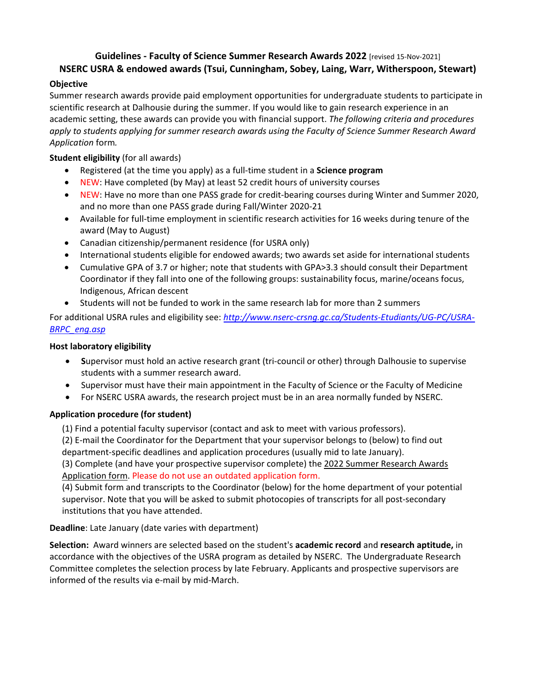# **Guidelines - Faculty of Science Summer Research Awards 2022** [revised 15-Nov-2021]

# **NSERC USRA & endowed awards (Tsui, Cunningham, Sobey, Laing, Warr, Witherspoon, Stewart)**

## **Objective**

Summer research awards provide paid employment opportunities for undergraduate students to participate in scientific research at Dalhousie during the summer. If you would like to gain research experience in an academic setting, these awards can provide you with financial support. *The following criteria and procedures apply to students applying for summer research awards using the Faculty of Science Summer Research Award Application* form*.*

## **Student eligibility** (for all awards)

- Registered (at the time you apply) as a full-time student in a **Science program**
- NEW: Have completed (by May) at least 52 credit hours of university courses
- NEW: Have no more than one PASS grade for credit-bearing courses during Winter and Summer 2020, and no more than one PASS grade during Fall/Winter 2020-21
- Available for full-time employment in scientific research activities for 16 weeks during tenure of the award (May to August)
- Canadian citizenship/permanent residence (for USRA only)
- International students eligible for endowed awards; two awards set aside for international students
- Cumulative GPA of 3.7 or higher; note that students with GPA>3.3 should consult their Department Coordinator if they fall into one of the following groups: sustainability focus, marine/oceans focus, Indigenous, African descent
- Students will not be funded to work in the same research lab for more than 2 summers

For additional USRA rules and eligibility see: *[http://www.nserc-crsng.gc.ca/Students-Etudiants/UG-PC/USRA-](http://www.nserc-crsng.gc.ca/Students-Etudiants/UG-PC/USRA-BRPC_eng.asp)[BRPC\\_eng.asp](http://www.nserc-crsng.gc.ca/Students-Etudiants/UG-PC/USRA-BRPC_eng.asp)*

#### **Host laboratory eligibility**

- **S**upervisor must hold an active research grant (tri-council or other) through Dalhousie to supervise students with a summer research award.
- Supervisor must have their main appointment in the Faculty of Science or the Faculty of Medicine
- For NSERC USRA awards, the research project must be in an area normally funded by NSERC.

#### **Application procedure (for student)**

(1) Find a potential faculty supervisor (contact and ask to meet with various professors).

(2) E-mail the Coordinator for the Department that your supervisor belongs to (below) to find out department-specific deadlines and application procedures (usually mid to late January).

(3) Complete (and have your prospective supervisor complete) the 2022 Summer Research Awards Application form. Please do not use an outdated application form.

(4) Submit form and transcripts to the Coordinator (below) for the home department of your potential supervisor. Note that you will be asked to submit photocopies of transcripts for all post-secondary institutions that you have attended.

#### **Deadline**: Late January (date varies with department)

**Selection:** Award winners are selected based on the student's **academic record** and **research aptitude,** in accordance with the objectives of the USRA program as detailed by NSERC. The Undergraduate Research Committee completes the selection process by late February. Applicants and prospective supervisors are informed of the results via e-mail by mid-March.